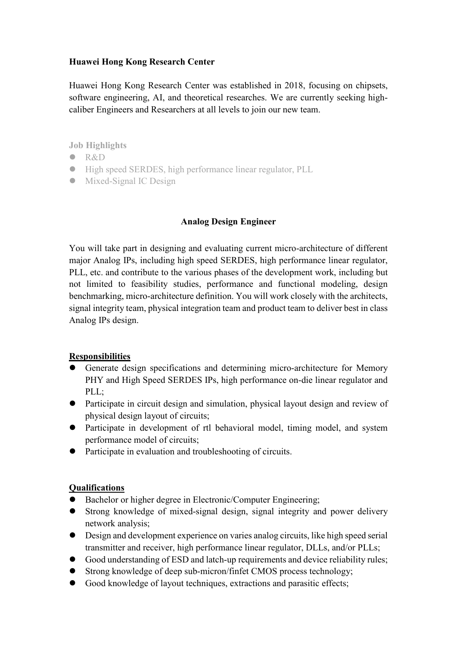## **Huawei Hong Kong Research Center**

Huawei Hong Kong Research Center was established in 2018, focusing on chipsets, software engineering, AI, and theoretical researches. We are currently seeking highcaliber Engineers and Researchers at all levels to join our new team.

**Job Highlights**

- $\bullet$  R&D
- High speed SERDES, high performance linear regulator, PLL
- Mixed-Signal IC Design

## **Analog Design Engineer**

You will take part in designing and evaluating current micro-architecture of different major Analog IPs, including high speed SERDES, high performance linear regulator, PLL, etc. and contribute to the various phases of the development work, including but not limited to feasibility studies, performance and functional modeling, design benchmarking, micro-architecture definition. You will work closely with the architects, signal integrity team, physical integration team and product team to deliver best in class Analog IPs design.

## **Responsibilities**

- Generate design specifications and determining micro-architecture for Memory PHY and High Speed SERDES IPs, high performance on-die linear regulator and PLL;
- Participate in circuit design and simulation, physical layout design and review of physical design layout of circuits;
- Participate in development of rtl behavioral model, timing model, and system performance model of circuits;
- Participate in evaluation and troubleshooting of circuits.

## **Qualifications**

- Bachelor or higher degree in Electronic/Computer Engineering;
- Strong knowledge of mixed-signal design, signal integrity and power delivery network analysis;
- Design and development experience on varies analog circuits, like high speed serial transmitter and receiver, high performance linear regulator, DLLs, and/or PLLs;
- Good understanding of ESD and latch-up requirements and device reliability rules;
- Strong knowledge of deep sub-micron/finfet CMOS process technology;
- Good knowledge of layout techniques, extractions and parasitic effects;